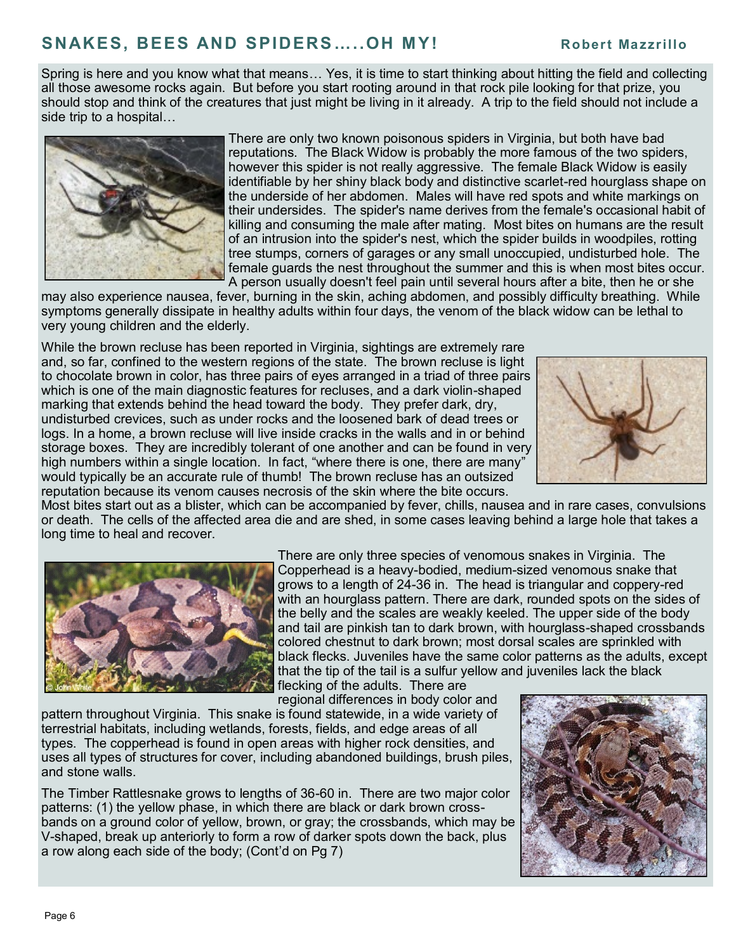## **SNAKES, BEES AND SPIDERS…..OH M Y! Robert Ma zzrillo**

Spring is here and you know what that means… Yes, it is time to start thinking about hitting the field and collecting all those awesome rocks again. But before you start rooting around in that rock pile looking for that prize, you should stop and think of the creatures that just might be living in it already. A trip to the field should not include a side trip to a hospital…



There are only two known poisonous spiders in Virginia, but both have bad reputations. The Black Widow is probably the more famous of the two spiders, however this spider is not really aggressive. The female Black Widow is easily identifiable by her shiny black body and distinctive scarlet-red hourglass shape on the underside of her abdomen. Males will have red spots and white markings on their undersides. The spider's name derives from the female's occasional habit of killing and consuming the male after mating. Most bites on humans are the result of an intrusion into the spider's nest, which the spider builds in woodpiles, rotting tree stumps, corners of garages or any small unoccupied, undisturbed hole. The female guards the nest throughout the summer and this is when most bites occur. A person usually doesn't feel pain until several hours after a bite, then he or she

may also experience nausea, fever, burning in the skin, aching abdomen, and possibly difficulty breathing. While symptoms generally dissipate in healthy adults within four days, the venom of the black widow can be lethal to very young children and the elderly.

While the brown recluse has been reported in Virginia, sightings are extremely rare and, so far, confined to the western regions of the state. The brown recluse is light to chocolate brown in color, has three pairs of eyes arranged in a triad of three pairs which is one of the main diagnostic features for recluses, and a dark violin-shaped marking that extends behind the head toward the body. They prefer dark, dry, undisturbed crevices, such as under rocks and the loosened bark of dead trees or logs. In a home, a brown recluse will live inside cracks in the walls and in or behind storage boxes. They are incredibly tolerant of one another and can be found in very high numbers within a single location. In fact, "where there is one, there are many" would typically be an accurate rule of thumb! The brown recluse has an outsized reputation because its venom causes necrosis of the skin where the bite occurs.



Most bites start out as a blister, which can be accompanied by fever, chills, nausea and in rare cases, convulsions or death. The cells of the affected area die and are shed, in some cases leaving behind a large hole that takes a long time to heal and recover.



There are only three species of venomous snakes in Virginia. The Copperhead is a heavy-bodied, medium-sized venomous snake that grows to a length of 24-36 in. The head is triangular and coppery-red with an hourglass pattern. There are dark, rounded spots on the sides of the belly and the scales are weakly keeled. The upper side of the body and tail are pinkish tan to dark brown, with hourglass-shaped crossbands colored chestnut to dark brown; most dorsal scales are sprinkled with black flecks. Juveniles have the same color patterns as the adults, except that the tip of the tail is a sulfur yellow and juveniles lack the black flecking of the adults. There are

regional differences in body color and

pattern throughout Virginia. This snake is found statewide, in a wide variety of terrestrial habitats, including wetlands, forests, fields, and edge areas of all types. The copperhead is found in open areas with higher rock densities, and uses all types of structures for cover, including abandoned buildings, brush piles, and stone walls.

The Timber Rattlesnake grows to lengths of 36-60 in. There are two major color patterns: (1) the yellow phase, in which there are black or dark brown crossbands on a ground color of yellow, brown, or gray; the crossbands, which may be V-shaped, break up anteriorly to form a row of darker spots down the back, plus a row along each side of the body; (Cont'd on Pg 7)